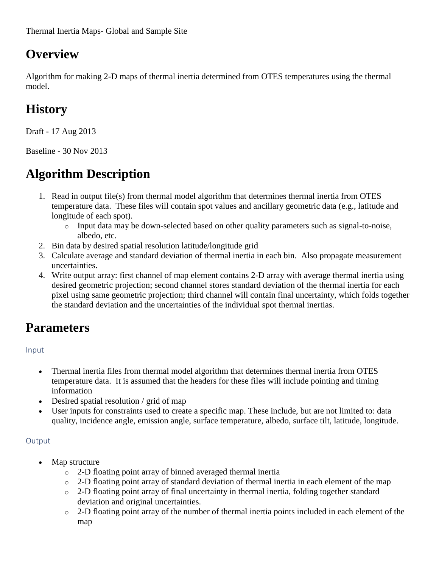## **Overview**

Algorithm for making 2-D maps of thermal inertia determined from OTES temperatures using the thermal model.

# **History**

Draft - 17 Aug 2013

Baseline - 30 Nov 2013

# **Algorithm Description**

- 1. Read in output file(s) from thermal model algorithm that determines thermal inertia from OTES temperature data. These files will contain spot values and ancillary geometric data (e.g., latitude and longitude of each spot).
	- o Input data may be down-selected based on other quality parameters such as signal-to-noise, albedo, etc.
- 2. Bin data by desired spatial resolution latitude/longitude grid
- 3. Calculate average and standard deviation of thermal inertia in each bin. Also propagate measurement uncertainties.
- 4. Write output array: first channel of map element contains 2-D array with average thermal inertia using desired geometric projection; second channel stores standard deviation of the thermal inertia for each pixel using same geometric projection; third channel will contain final uncertainty, which folds together the standard deviation and the uncertainties of the individual spot thermal inertias.

### **Parameters**

Input

- Thermal inertia files from thermal model algorithm that determines thermal inertia from OTES temperature data. It is assumed that the headers for these files will include pointing and timing information
- Desired spatial resolution / grid of map
- User inputs for constraints used to create a specific map. These include, but are not limited to: data quality, incidence angle, emission angle, surface temperature, albedo, surface tilt, latitude, longitude.

#### **Output**

- Map structure
	- o 2-D floating point array of binned averaged thermal inertia
	- o 2-D floating point array of standard deviation of thermal inertia in each element of the map
	- o 2-D floating point array of final uncertainty in thermal inertia, folding together standard deviation and original uncertainties.
	- o 2-D floating point array of the number of thermal inertia points included in each element of the map